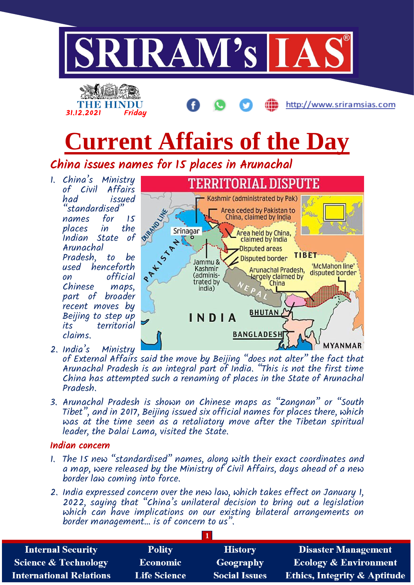



China issues names for 15 places in Arunachal

1. China's Ministry of Civil<br>had issued "standardised" names for 15 places in the Indian State of Arunachal Pradesh, to be used henceforth on official Chinese maps, part of broader recent moves by Beijing to step up territorial claims.

31.12.2021 Friday

THE HINDU



http://www.sriramsias.com

2. India's Ministry of External Affairs said the move by Beijing "does not alter" the fact that Arunachal Pradesh is an integral part of India. "This is not the first time China has attempted such a renaming of places in the State of Arunachal Pradesh.

3. Arunachal Pradesh is shown on Chinese maps as "Zangnan" or "South Tibet", and in 2017, Beijing issued six official names for places there, which was at the time seen as a retaliatory move after the Tibetan spiritual leader, the Dalai Lama, visited the State.

## Indian concern

- 1. The 15 new "standardised" names, along with their exact coordinates and a map, were released by the Ministry of Civil Affairs, days ahead of a new border law coming into force.
- 2. India expressed concern over the new law, which takes effect on January 1, 2022, saying that "China's unilateral decision to bring out a legislation which can have implications on our existing bilateral arrangements on border management… is of concern to us".

| <b>Internal Security</b>        | <b>Polity</b>       | <b>History</b>       | <b>Disaster Management</b>              |
|---------------------------------|---------------------|----------------------|-----------------------------------------|
| <b>Science &amp; Technology</b> | <b>Economic</b>     | Geography            | <b>Ecology &amp; Environment</b>        |
| <b>International Relations</b>  | <b>Life Science</b> | <b>Social Issues</b> | <b>Ethics, Integrity &amp; Aptitude</b> |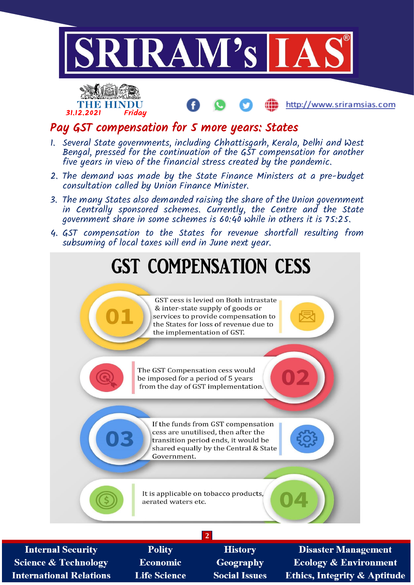

**Internal Security Science & Technology International Relations** 

**Polity Economic Life Science** 

**History** Geography **Social Issues** 

**Disaster Management Ecology & Environment** Ethics, Integrity & Aptitude